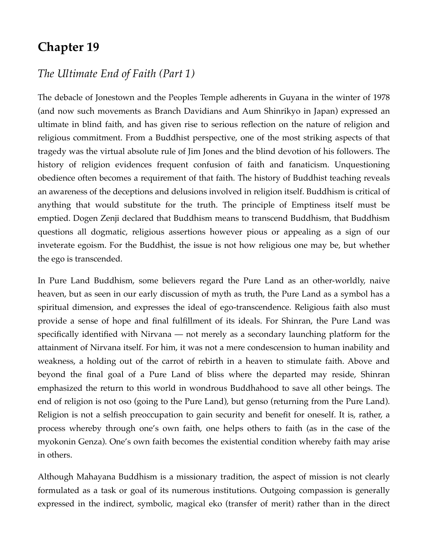## **Chapter 19**

## *The Ultimate End of Faith (Part 1)*

The debacle of Jonestown and the Peoples Temple adherents in Guyana in the winter of 1978 (and now such movements as Branch Davidians and Aum Shinrikyo in Japan) expressed an ultimate in blind faith, and has given rise to serious reflection on the nature of religion and religious commitment. From a Buddhist perspective, one of the most striking aspects of that tragedy was the virtual absolute rule of Jim Jones and the blind devotion of his followers. The history of religion evidences frequent confusion of faith and fanaticism. Unquestioning obedience often becomes a requirement of that faith. The history of Buddhist teaching reveals an awareness of the deceptions and delusions involved in religion itself. Buddhism is critical of anything that would substitute for the truth. The principle of Emptiness itself must be emptied. Dogen Zenji declared that Buddhism means to transcend Buddhism, that Buddhism questions all dogmatic, religious assertions however pious or appealing as a sign of our inveterate egoism. For the Buddhist, the issue is not how religious one may be, but whether the ego is transcended.

In Pure Land Buddhism, some believers regard the Pure Land as an other-worldly, naive heaven, but as seen in our early discussion of myth as truth, the Pure Land as a symbol has a spiritual dimension, and expresses the ideal of ego-transcendence. Religious faith also must provide a sense of hope and final fulfillment of its ideals. For Shinran, the Pure Land was specifically identified with Nirvana — not merely as a secondary launching platform for the attainment of Nirvana itself. For him, it was not a mere condescension to human inability and weakness, a holding out of the carrot of rebirth in a heaven to stimulate faith. Above and beyond the final goal of a Pure Land of bliss where the departed may reside, Shinran emphasized the return to this world in wondrous Buddhahood to save all other beings. The end of religion is not oso (going to the Pure Land), but genso (returning from the Pure Land). Religion is not a selfish preoccupation to gain security and benefit for oneself. It is, rather, a process whereby through one's own faith, one helps others to faith (as in the case of the myokonin Genza). One's own faith becomes the existential condition whereby faith may arise in others.

Although Mahayana Buddhism is a missionary tradition, the aspect of mission is not clearly formulated as a task or goal of its numerous institutions. Outgoing compassion is generally expressed in the indirect, symbolic, magical eko (transfer of merit) rather than in the direct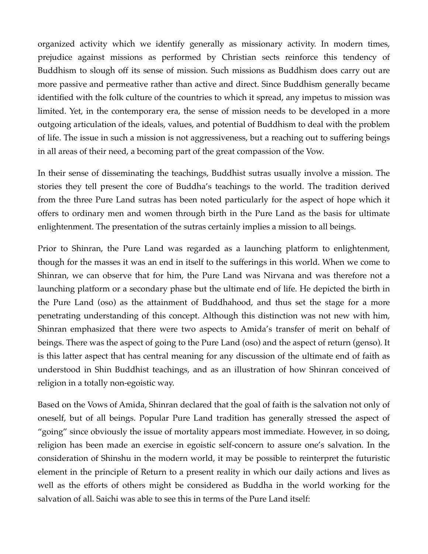organized activity which we identify generally as missionary activity. In modern times, prejudice against missions as performed by Christian sects reinforce this tendency of Buddhism to slough off its sense of mission. Such missions as Buddhism does carry out are more passive and permeative rather than active and direct. Since Buddhism generally became identified with the folk culture of the countries to which it spread, any impetus to mission was limited. Yet, in the contemporary era, the sense of mission needs to be developed in a more outgoing articulation of the ideals, values, and potential of Buddhism to deal with the problem of life. The issue in such a mission is not aggressiveness, but a reaching out to suffering beings in all areas of their need, a becoming part of the great compassion of the Vow.

In their sense of disseminating the teachings, Buddhist sutras usually involve a mission. The stories they tell present the core of Buddha's teachings to the world. The tradition derived from the three Pure Land sutras has been noted particularly for the aspect of hope which it offers to ordinary men and women through birth in the Pure Land as the basis for ultimate enlightenment. The presentation of the sutras certainly implies a mission to all beings.

Prior to Shinran, the Pure Land was regarded as a launching platform to enlightenment, though for the masses it was an end in itself to the sufferings in this world. When we come to Shinran, we can observe that for him, the Pure Land was Nirvana and was therefore not a launching platform or a secondary phase but the ultimate end of life. He depicted the birth in the Pure Land (oso) as the attainment of Buddhahood, and thus set the stage for a more penetrating understanding of this concept. Although this distinction was not new with him, Shinran emphasized that there were two aspects to Amida's transfer of merit on behalf of beings. There was the aspect of going to the Pure Land (oso) and the aspect of return (genso). It is this latter aspect that has central meaning for any discussion of the ultimate end of faith as understood in Shin Buddhist teachings, and as an illustration of how Shinran conceived of religion in a totally non-egoistic way.

Based on the Vows of Amida, Shinran declared that the goal of faith is the salvation not only of oneself, but of all beings. Popular Pure Land tradition has generally stressed the aspect of "going" since obviously the issue of mortality appears most immediate. However, in so doing, religion has been made an exercise in egoistic self-concern to assure one's salvation. In the consideration of Shinshu in the modern world, it may be possible to reinterpret the futuristic element in the principle of Return to a present reality in which our daily actions and lives as well as the efforts of others might be considered as Buddha in the world working for the salvation of all. Saichi was able to see this in terms of the Pure Land itself: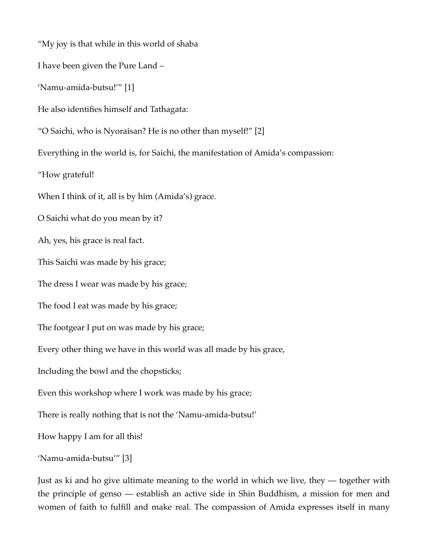"My joy is that while in this world of shaba I have been given the Pure Land – 'Namu-amida-butsu!'" [1] He also identifies himself and Tathagata: "O Saichi, who is Nyoraisan? He is no other than myself!" [2] Everything in the world is, for Saichi, the manifestation of Amida's compassion: "How grateful! When I think of it, all is by him (Amida's) grace. O Saichi what do you mean by it? Ah, yes, his grace is real fact. This Saichi was made by his grace; The dress I wear was made by his grace; The food I eat was made by his grace; The footgear I put on was made by his grace; Every other thing we have in this world was all made by his grace, Including the bowl and the chopsticks; Even this workshop where I work was made by his grace; There is really nothing that is not the 'Namu-amida-butsu!' How happy I am for all this! 'Namu-amida-butsu'" [3]

Just as ki and ho give ultimate meaning to the world in which we live, they — together with the principle of genso — establish an active side in Shin Buddhism, a mission for men and women of faith to fulfill and make real. The compassion of Amida expresses itself in many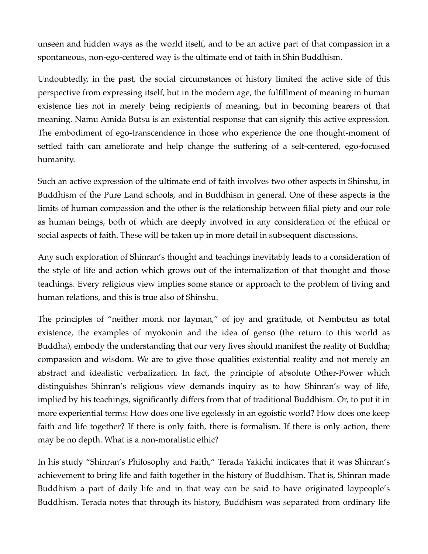unseen and hidden ways as the world itself, and to be an active part of that compassion in a spontaneous, non-ego-centered way is the ultimate end of faith in Shin Buddhism.

Undoubtedly, in the past, the social circumstances of history limited the active side of this perspective from expressing itself, but in the modern age, the fulfillment of meaning in human existence lies not in merely being recipients of meaning, but in becoming bearers of that meaning. Namu Amida Butsu is an existential response that can signify this active expression. The embodiment of ego-transcendence in those who experience the one thought-moment of settled faith can ameliorate and help change the suffering of a self-centered, ego-focused humanity.

Such an active expression of the ultimate end of faith involves two other aspects in Shinshu, in Buddhism of the Pure Land schools, and in Buddhism in general. One of these aspects is the limits of human compassion and the other is the relationship between filial piety and our role as human beings, both of which are deeply involved in any consideration of the ethical or social aspects of faith. These will be taken up in more detail in subsequent discussions.

Any such exploration of Shinran's thought and teachings inevitably leads to a consideration of the style of life and action which grows out of the internalization of that thought and those teachings. Every religious view implies some stance or approach to the problem of living and human relations, and this is true also of Shinshu.

The principles of "neither monk nor layman," of joy and gratitude, of Nembutsu as total existence, the examples of myokonin and the idea of genso (the return to this world as Buddha), embody the understanding that our very lives should manifest the reality of Buddha; compassion and wisdom. We are to give those qualities existential reality and not merely an abstract and idealistic verbalization. In fact, the principle of absolute Other-Power which distinguishes Shinran's religious view demands inquiry as to how Shinran's way of life, implied by his teachings, significantly differs from that of traditional Buddhism. Or, to put it in more experiential terms: How does one live egolessly in an egoistic world? How does one keep faith and life together? If there is only faith, there is formalism. If there is only action, there may be no depth. What is a non-moralistic ethic?

In his study "Shinran's Philosophy and Faith," Terada Yakichi indicates that it was Shinran's achievement to bring life and faith together in the history of Buddhism. That is, Shinran made Buddhism a part of daily life and in that way can be said to have originated laypeople's Buddhism. Terada notes that through its history, Buddhism was separated from ordinary life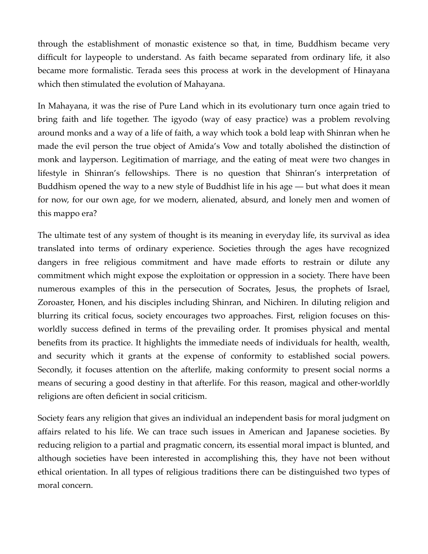through the establishment of monastic existence so that, in time, Buddhism became very difficult for laypeople to understand. As faith became separated from ordinary life, it also became more formalistic. Terada sees this process at work in the development of Hinayana which then stimulated the evolution of Mahayana.

In Mahayana, it was the rise of Pure Land which in its evolutionary turn once again tried to bring faith and life together. The igyodo (way of easy practice) was a problem revolving around monks and a way of a life of faith, a way which took a bold leap with Shinran when he made the evil person the true object of Amida's Vow and totally abolished the distinction of monk and layperson. Legitimation of marriage, and the eating of meat were two changes in lifestyle in Shinran's fellowships. There is no question that Shinran's interpretation of Buddhism opened the way to a new style of Buddhist life in his age — but what does it mean for now, for our own age, for we modern, alienated, absurd, and lonely men and women of this mappo era?

The ultimate test of any system of thought is its meaning in everyday life, its survival as idea translated into terms of ordinary experience. Societies through the ages have recognized dangers in free religious commitment and have made efforts to restrain or dilute any commitment which might expose the exploitation or oppression in a society. There have been numerous examples of this in the persecution of Socrates, Jesus, the prophets of Israel, Zoroaster, Honen, and his disciples including Shinran, and Nichiren. In diluting religion and blurring its critical focus, society encourages two approaches. First, religion focuses on thisworldly success defined in terms of the prevailing order. It promises physical and mental benefits from its practice. It highlights the immediate needs of individuals for health, wealth, and security which it grants at the expense of conformity to established social powers. Secondly, it focuses attention on the afterlife, making conformity to present social norms a means of securing a good destiny in that afterlife. For this reason, magical and other-worldly religions are often deficient in social criticism.

Society fears any religion that gives an individual an independent basis for moral judgment on affairs related to his life. We can trace such issues in American and Japanese societies. By reducing religion to a partial and pragmatic concern, its essential moral impact is blunted, and although societies have been interested in accomplishing this, they have not been without ethical orientation. In all types of religious traditions there can be distinguished two types of moral concern.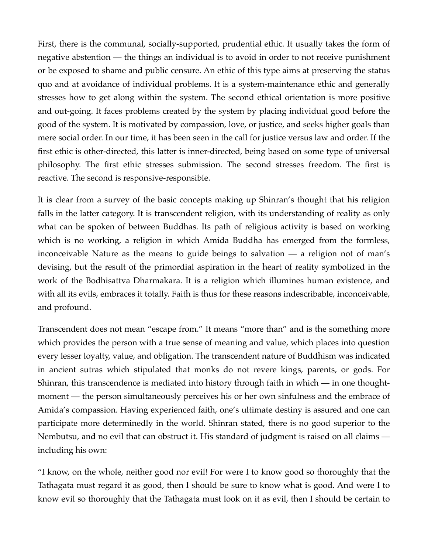First, there is the communal, socially-supported, prudential ethic. It usually takes the form of negative abstention — the things an individual is to avoid in order to not receive punishment or be exposed to shame and public censure. An ethic of this type aims at preserving the status quo and at avoidance of individual problems. It is a system-maintenance ethic and generally stresses how to get along within the system. The second ethical orientation is more positive and out-going. It faces problems created by the system by placing individual good before the good of the system. It is motivated by compassion, love, or justice, and seeks higher goals than mere social order. In our time, it has been seen in the call for justice versus law and order. If the first ethic is other-directed, this latter is inner-directed, being based on some type of universal philosophy. The first ethic stresses submission. The second stresses freedom. The first is reactive. The second is responsive-responsible.

It is clear from a survey of the basic concepts making up Shinran's thought that his religion falls in the latter category. It is transcendent religion, with its understanding of reality as only what can be spoken of between Buddhas. Its path of religious activity is based on working which is no working, a religion in which Amida Buddha has emerged from the formless, inconceivable Nature as the means to guide beings to salvation — a religion not of man's devising, but the result of the primordial aspiration in the heart of reality symbolized in the work of the Bodhisattva Dharmakara. It is a religion which illumines human existence, and with all its evils, embraces it totally. Faith is thus for these reasons indescribable, inconceivable, and profound.

Transcendent does not mean "escape from." It means "more than" and is the something more which provides the person with a true sense of meaning and value, which places into question every lesser loyalty, value, and obligation. The transcendent nature of Buddhism was indicated in ancient sutras which stipulated that monks do not revere kings, parents, or gods. For Shinran, this transcendence is mediated into history through faith in which — in one thoughtmoment — the person simultaneously perceives his or her own sinfulness and the embrace of Amida's compassion. Having experienced faith, one's ultimate destiny is assured and one can participate more determinedly in the world. Shinran stated, there is no good superior to the Nembutsu, and no evil that can obstruct it. His standard of judgment is raised on all claims including his own:

"I know, on the whole, neither good nor evil! For were I to know good so thoroughly that the Tathagata must regard it as good, then I should be sure to know what is good. And were I to know evil so thoroughly that the Tathagata must look on it as evil, then I should be certain to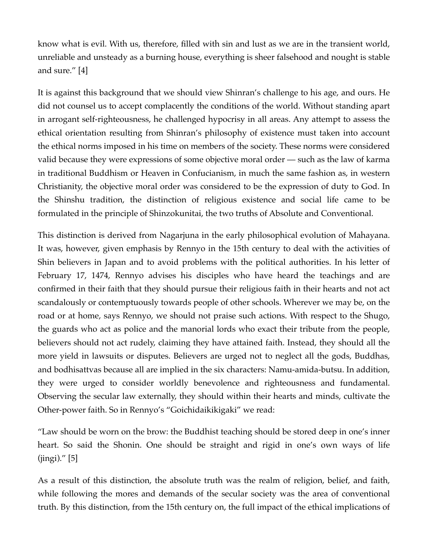know what is evil. With us, therefore, filled with sin and lust as we are in the transient world, unreliable and unsteady as a burning house, everything is sheer falsehood and nought is stable and sure." [4]

It is against this background that we should view Shinran's challenge to his age, and ours. He did not counsel us to accept complacently the conditions of the world. Without standing apart in arrogant self-righteousness, he challenged hypocrisy in all areas. Any attempt to assess the ethical orientation resulting from Shinran's philosophy of existence must taken into account the ethical norms imposed in his time on members of the society. These norms were considered valid because they were expressions of some objective moral order — such as the law of karma in traditional Buddhism or Heaven in Confucianism, in much the same fashion as, in western Christianity, the objective moral order was considered to be the expression of duty to God. In the Shinshu tradition, the distinction of religious existence and social life came to be formulated in the principle of Shinzokunitai, the two truths of Absolute and Conventional.

This distinction is derived from Nagarjuna in the early philosophical evolution of Mahayana. It was, however, given emphasis by Rennyo in the 15th century to deal with the activities of Shin believers in Japan and to avoid problems with the political authorities. In his letter of February 17, 1474, Rennyo advises his disciples who have heard the teachings and are confirmed in their faith that they should pursue their religious faith in their hearts and not act scandalously or contemptuously towards people of other schools. Wherever we may be, on the road or at home, says Rennyo, we should not praise such actions. With respect to the Shugo, the guards who act as police and the manorial lords who exact their tribute from the people, believers should not act rudely, claiming they have attained faith. Instead, they should all the more yield in lawsuits or disputes. Believers are urged not to neglect all the gods, Buddhas, and bodhisattvas because all are implied in the six characters: Namu-amida-butsu. In addition, they were urged to consider worldly benevolence and righteousness and fundamental. Observing the secular law externally, they should within their hearts and minds, cultivate the Other-power faith. So in Rennyo's "Goichidaikikigaki" we read:

"Law should be worn on the brow: the Buddhist teaching should be stored deep in one's inner heart. So said the Shonin. One should be straight and rigid in one's own ways of life  $(iingi).$ " [5]

As a result of this distinction, the absolute truth was the realm of religion, belief, and faith, while following the mores and demands of the secular society was the area of conventional truth. By this distinction, from the 15th century on, the full impact of the ethical implications of